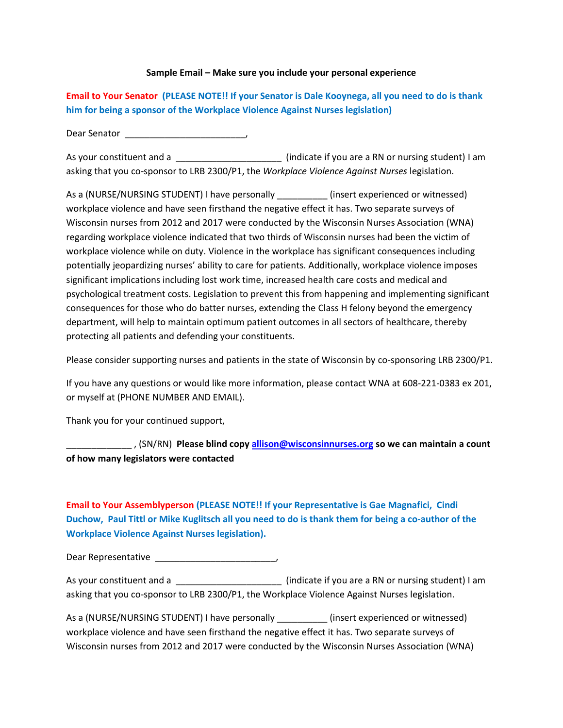## **Sample Email – Make sure you include your personal experience**

**Email to Your Senator (PLEASE NOTE!! If your Senator is Dale Kooynega, all you need to do is thank him for being a sponsor of the Workplace Violence Against Nurses legislation)** 

Dear Senator \_\_\_\_\_\_\_\_\_\_\_\_\_\_\_\_\_\_\_\_\_\_\_\_,

As your constituent and a **Alternative and a**  $\qquad \qquad$  (indicate if you are a RN or nursing student) I am asking that you co-sponsor to LRB 2300/P1, the *Workplace Violence Against Nurses* legislation.

As a (NURSE/NURSING STUDENT) I have personally \_\_\_\_\_\_\_\_\_\_ (insert experienced or witnessed) workplace violence and have seen firsthand the negative effect it has. Two separate surveys of Wisconsin nurses from 2012 and 2017 were conducted by the Wisconsin Nurses Association (WNA) regarding workplace violence indicated that two thirds of Wisconsin nurses had been the victim of workplace violence while on duty. Violence in the workplace has significant consequences including potentially jeopardizing nurses' ability to care for patients. Additionally, workplace violence imposes significant implications including lost work time, increased health care costs and medical and psychological treatment costs. Legislation to prevent this from happening and implementing significant consequences for those who do batter nurses, extending the Class H felony beyond the emergency department, will help to maintain optimum patient outcomes in all sectors of healthcare, thereby protecting all patients and defending your constituents.

Please consider supporting nurses and patients in the state of Wisconsin by co-sponsoring LRB 2300/P1.

If you have any questions or would like more information, please contact WNA at 608-221-0383 ex 201, or myself at (PHONE NUMBER AND EMAIL).

Thank you for your continued support,

\_\_\_\_\_\_\_\_\_\_\_\_\_ , (SN/RN) **Please blind cop[y allison@wisconsinnurses.org](mailto:allison@wisconsinnurses.org) so we can maintain a count of how many legislators were contacted**

## **Email to Your Assemblyperson (PLEASE NOTE!! If your Representative is Gae Magnafici, Cindi Duchow, Paul Tittl or Mike Kuglitsch all you need to do is thank them for being a co-author of the Workplace Violence Against Nurses legislation).**

Dear Representative \_\_\_\_\_\_\_\_\_\_\_\_\_\_\_\_\_\_\_\_\_\_\_\_,

As your constituent and a \_\_\_\_\_\_\_\_\_\_\_\_\_\_\_\_\_\_\_\_\_\_\_\_\_\_\_\_\_ (indicate if you are a RN or nursing student) I am asking that you co-sponsor to LRB 2300/P1, the Workplace Violence Against Nurses legislation.

| As a (NURSE/NURSING STUDENT) I have personally                                                 | (insert experienced or witnessed) |
|------------------------------------------------------------------------------------------------|-----------------------------------|
| workplace violence and have seen firsthand the negative effect it has. Two separate surveys of |                                   |
| Wisconsin nurses from 2012 and 2017 were conducted by the Wisconsin Nurses Association (WNA)   |                                   |